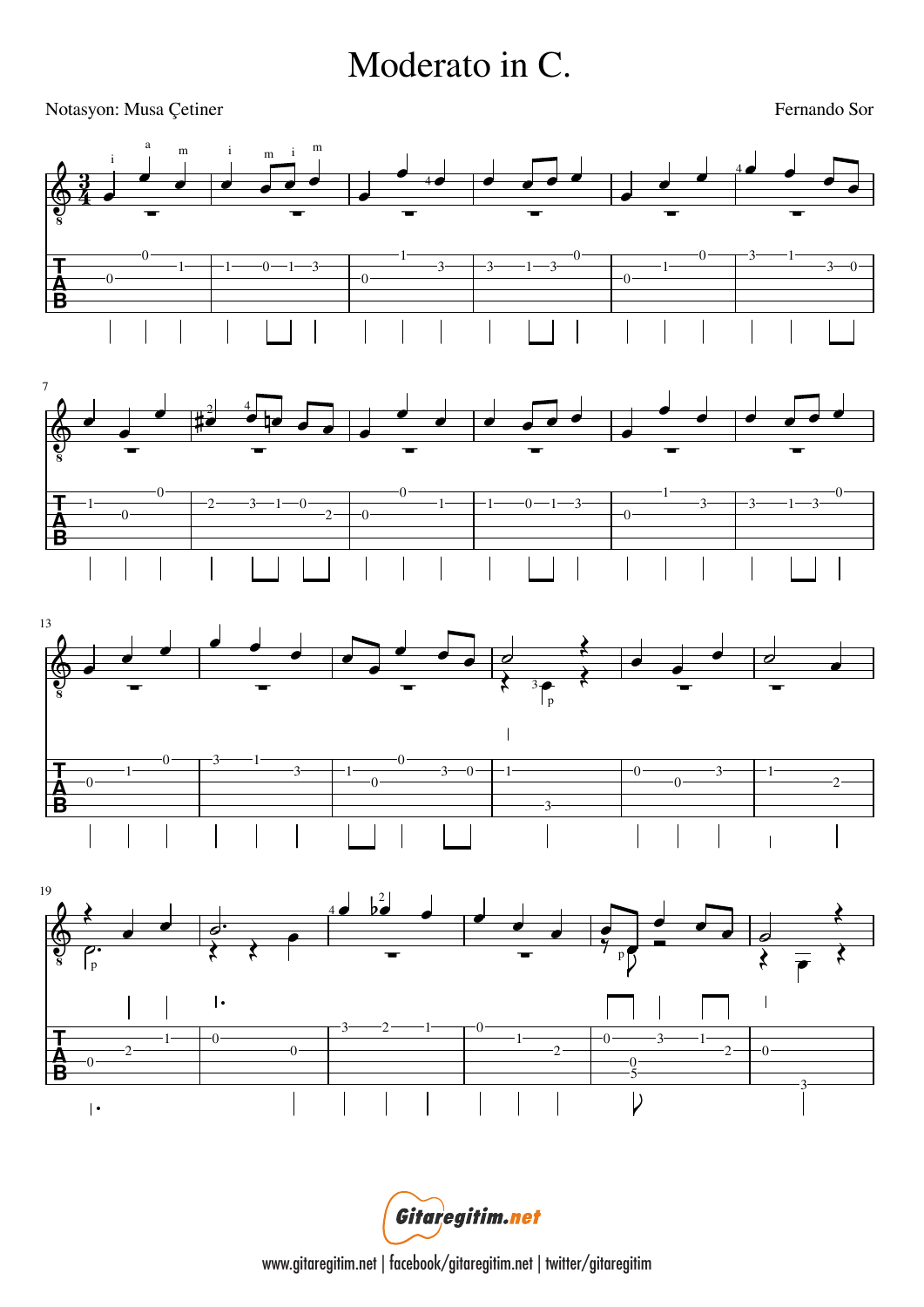## Moderato in C.

## Notasyon: Musa Çetiner

Fernando Sor



Gitaregitim.net